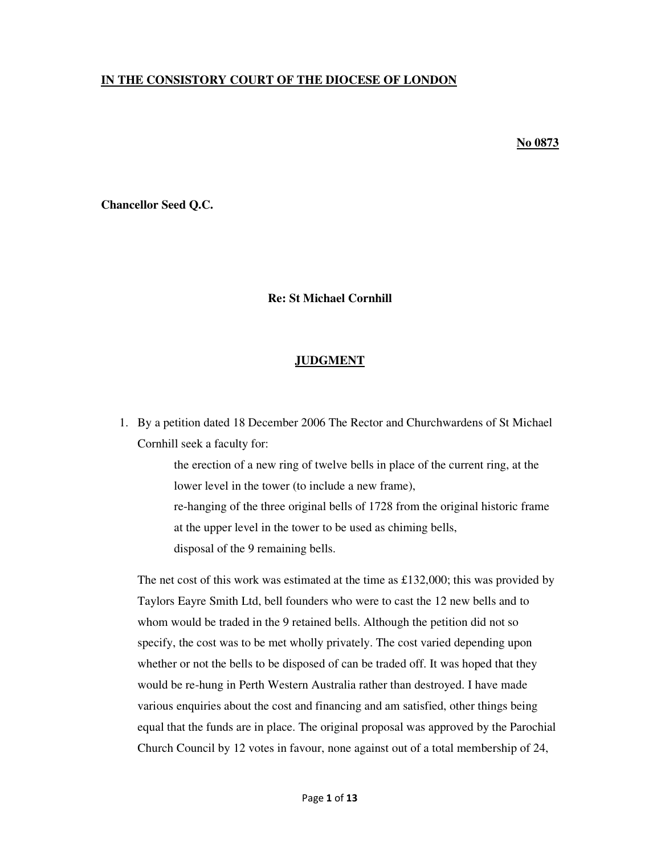## **IN THE CONSISTORY COURT OF THE DIOCESE OF LONDON**

## **No 0873**

**Chancellor Seed Q.C.**

## **Re: St Michael Cornhill**

## **JUDGMENT**

1. By a petition dated 18 December 2006 The Rector and Churchwardens of St Michael Cornhill seek a faculty for:

> the erection of a new ring of twelve bells in place of the current ring, at the lower level in the tower (to include a new frame), re-hanging of the three original bells of 1728 from the original historic frame at the upper level in the tower to be used as chiming bells, disposal of the 9 remaining bells.

The net cost of this work was estimated at the time as £132,000; this was provided by Taylors Eayre Smith Ltd, bell founders who were to cast the 12 new bells and to whom would be traded in the 9 retained bells. Although the petition did not so specify, the cost was to be met wholly privately. The cost varied depending upon whether or not the bells to be disposed of can be traded off. It was hoped that they would be re-hung in Perth Western Australia rather than destroyed. I have made various enquiries about the cost and financing and am satisfied, other things being equal that the funds are in place. The original proposal was approved by the Parochial Church Council by 12 votes in favour, none against out of a total membership of 24,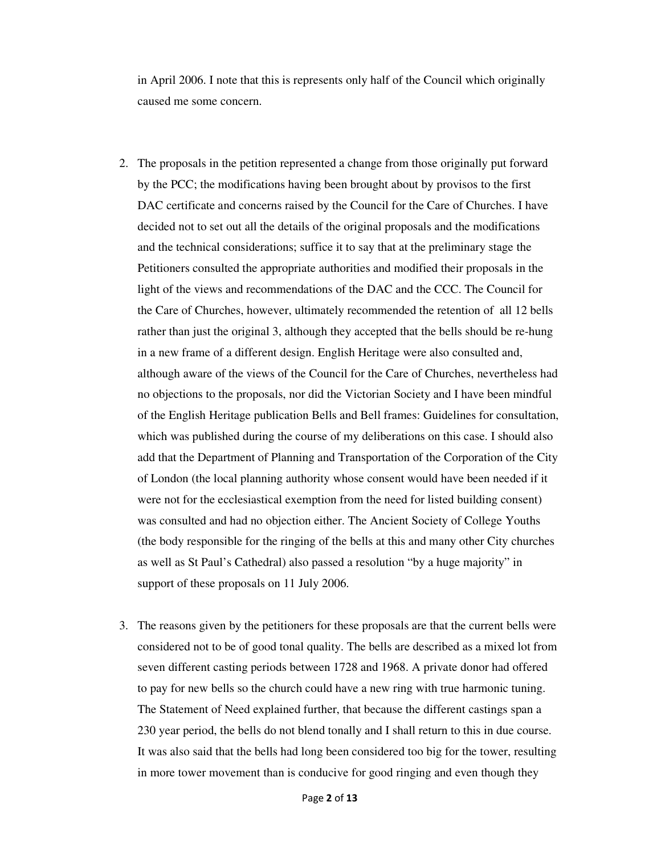in April 2006. I note that this is represents only half of the Council which originally caused me some concern.

- 2. The proposals in the petition represented a change from those originally put forward by the PCC; the modifications having been brought about by provisos to the first DAC certificate and concerns raised by the Council for the Care of Churches. I have decided not to set out all the details of the original proposals and the modifications and the technical considerations; suffice it to say that at the preliminary stage the Petitioners consulted the appropriate authorities and modified their proposals in the light of the views and recommendations of the DAC and the CCC. The Council for the Care of Churches, however, ultimately recommended the retention of all 12 bells rather than just the original 3, although they accepted that the bells should be re-hung in a new frame of a different design. English Heritage were also consulted and, although aware of the views of the Council for the Care of Churches, nevertheless had no objections to the proposals, nor did the Victorian Society and I have been mindful of the English Heritage publication Bells and Bell frames: Guidelines for consultation, which was published during the course of my deliberations on this case. I should also add that the Department of Planning and Transportation of the Corporation of the City of London (the local planning authority whose consent would have been needed if it were not for the ecclesiastical exemption from the need for listed building consent) was consulted and had no objection either. The Ancient Society of College Youths (the body responsible for the ringing of the bells at this and many other City churches as well as St Paul's Cathedral) also passed a resolution "by a huge majority" in support of these proposals on 11 July 2006.
- 3. The reasons given by the petitioners for these proposals are that the current bells were considered not to be of good tonal quality. The bells are described as a mixed lot from seven different casting periods between 1728 and 1968. A private donor had offered to pay for new bells so the church could have a new ring with true harmonic tuning. The Statement of Need explained further, that because the different castings span a 230 year period, the bells do not blend tonally and I shall return to this in due course. It was also said that the bells had long been considered too big for the tower, resulting in more tower movement than is conducive for good ringing and even though they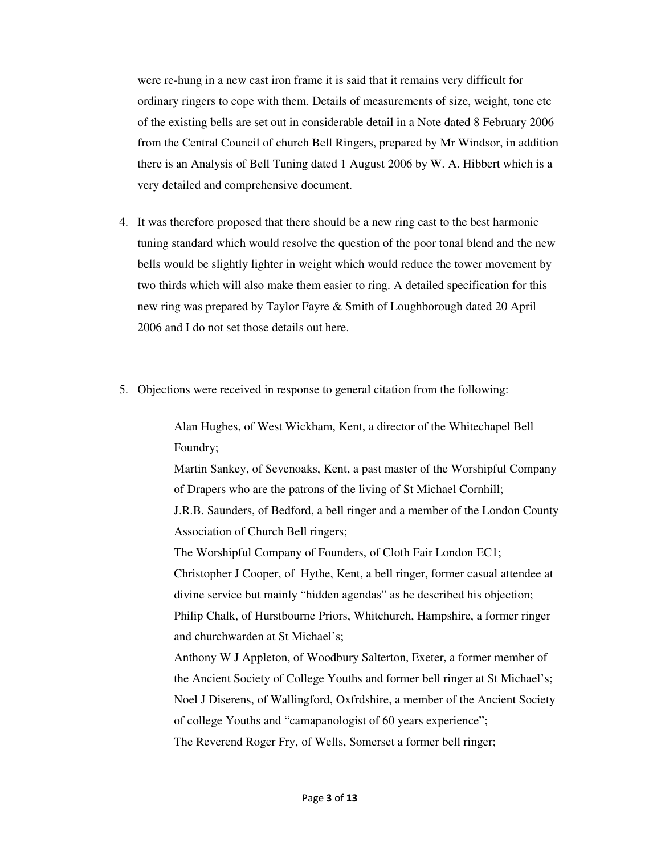were re-hung in a new cast iron frame it is said that it remains very difficult for ordinary ringers to cope with them. Details of measurements of size, weight, tone etc of the existing bells are set out in considerable detail in a Note dated 8 February 2006 from the Central Council of church Bell Ringers, prepared by Mr Windsor, in addition there is an Analysis of Bell Tuning dated 1 August 2006 by W. A. Hibbert which is a very detailed and comprehensive document.

- 4. It was therefore proposed that there should be a new ring cast to the best harmonic tuning standard which would resolve the question of the poor tonal blend and the new bells would be slightly lighter in weight which would reduce the tower movement by two thirds which will also make them easier to ring. A detailed specification for this new ring was prepared by Taylor Fayre & Smith of Loughborough dated 20 April 2006 and I do not set those details out here.
- 5. Objections were received in response to general citation from the following:

Alan Hughes, of West Wickham, Kent, a director of the Whitechapel Bell Foundry;

Martin Sankey, of Sevenoaks, Kent, a past master of the Worshipful Company of Drapers who are the patrons of the living of St Michael Cornhill; J.R.B. Saunders, of Bedford, a bell ringer and a member of the London County Association of Church Bell ringers;

The Worshipful Company of Founders, of Cloth Fair London EC1; Christopher J Cooper, of Hythe, Kent, a bell ringer, former casual attendee at divine service but mainly "hidden agendas" as he described his objection; Philip Chalk, of Hurstbourne Priors, Whitchurch, Hampshire, a former ringer and churchwarden at St Michael's;

Anthony W J Appleton, of Woodbury Salterton, Exeter, a former member of the Ancient Society of College Youths and former bell ringer at St Michael's; Noel J Diserens, of Wallingford, Oxfrdshire, a member of the Ancient Society of college Youths and "camapanologist of 60 years experience"; The Reverend Roger Fry, of Wells, Somerset a former bell ringer;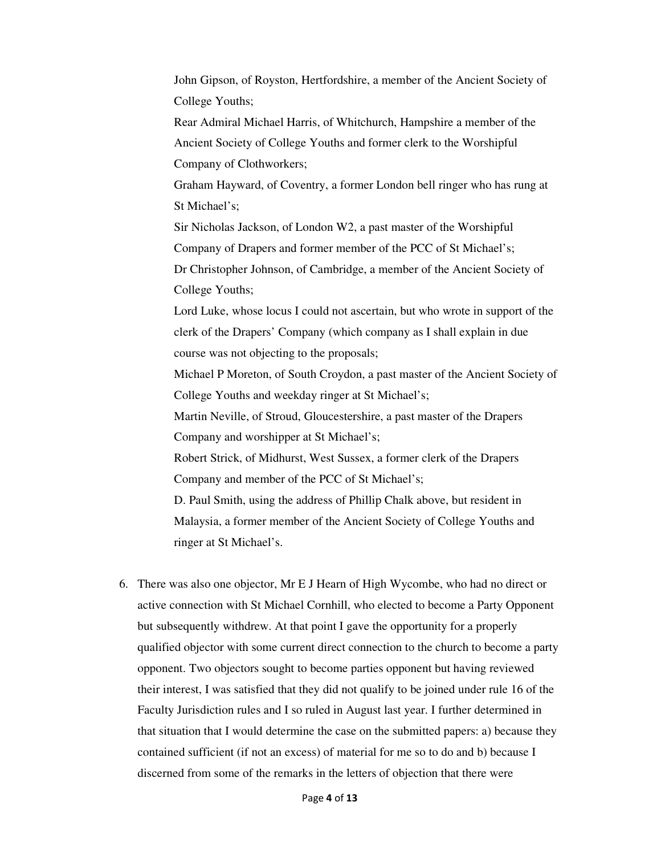John Gipson, of Royston, Hertfordshire, a member of the Ancient Society of College Youths;

Rear Admiral Michael Harris, of Whitchurch, Hampshire a member of the Ancient Society of College Youths and former clerk to the Worshipful Company of Clothworkers;

Graham Hayward, of Coventry, a former London bell ringer who has rung at St Michael's;

Sir Nicholas Jackson, of London W2, a past master of the Worshipful Company of Drapers and former member of the PCC of St Michael's;

Dr Christopher Johnson, of Cambridge, a member of the Ancient Society of College Youths;

Lord Luke, whose locus I could not ascertain, but who wrote in support of the clerk of the Drapers' Company (which company as I shall explain in due course was not objecting to the proposals;

Michael P Moreton, of South Croydon, a past master of the Ancient Society of College Youths and weekday ringer at St Michael's;

Martin Neville, of Stroud, Gloucestershire, a past master of the Drapers Company and worshipper at St Michael's;

Robert Strick, of Midhurst, West Sussex, a former clerk of the Drapers Company and member of the PCC of St Michael's;

D. Paul Smith, using the address of Phillip Chalk above, but resident in Malaysia, a former member of the Ancient Society of College Youths and ringer at St Michael's.

6. There was also one objector, Mr E J Hearn of High Wycombe, who had no direct or active connection with St Michael Cornhill, who elected to become a Party Opponent but subsequently withdrew. At that point I gave the opportunity for a properly qualified objector with some current direct connection to the church to become a party opponent. Two objectors sought to become parties opponent but having reviewed their interest, I was satisfied that they did not qualify to be joined under rule 16 of the Faculty Jurisdiction rules and I so ruled in August last year. I further determined in that situation that I would determine the case on the submitted papers: a) because they contained sufficient (if not an excess) of material for me so to do and b) because I discerned from some of the remarks in the letters of objection that there were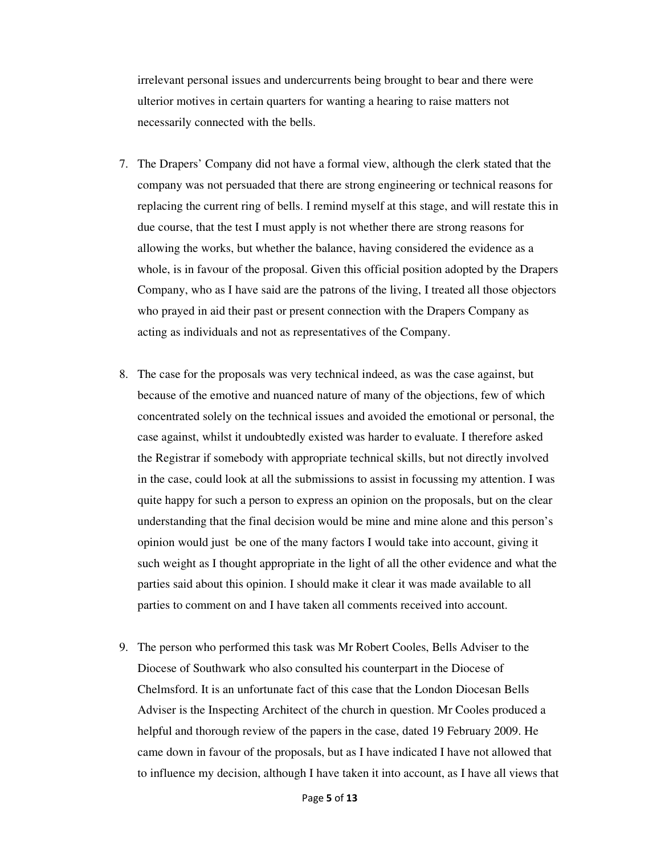irrelevant personal issues and undercurrents being brought to bear and there were ulterior motives in certain quarters for wanting a hearing to raise matters not necessarily connected with the bells.

- 7. The Drapers' Company did not have a formal view, although the clerk stated that the company was not persuaded that there are strong engineering or technical reasons for replacing the current ring of bells. I remind myself at this stage, and will restate this in due course, that the test I must apply is not whether there are strong reasons for allowing the works, but whether the balance, having considered the evidence as a whole, is in favour of the proposal. Given this official position adopted by the Drapers Company, who as I have said are the patrons of the living, I treated all those objectors who prayed in aid their past or present connection with the Drapers Company as acting as individuals and not as representatives of the Company.
- 8. The case for the proposals was very technical indeed, as was the case against, but because of the emotive and nuanced nature of many of the objections, few of which concentrated solely on the technical issues and avoided the emotional or personal, the case against, whilst it undoubtedly existed was harder to evaluate. I therefore asked the Registrar if somebody with appropriate technical skills, but not directly involved in the case, could look at all the submissions to assist in focussing my attention. I was quite happy for such a person to express an opinion on the proposals, but on the clear understanding that the final decision would be mine and mine alone and this person's opinion would just be one of the many factors I would take into account, giving it such weight as I thought appropriate in the light of all the other evidence and what the parties said about this opinion. I should make it clear it was made available to all parties to comment on and I have taken all comments received into account.
- 9. The person who performed this task was Mr Robert Cooles, Bells Adviser to the Diocese of Southwark who also consulted his counterpart in the Diocese of Chelmsford. It is an unfortunate fact of this case that the London Diocesan Bells Adviser is the Inspecting Architect of the church in question. Mr Cooles produced a helpful and thorough review of the papers in the case, dated 19 February 2009. He came down in favour of the proposals, but as I have indicated I have not allowed that to influence my decision, although I have taken it into account, as I have all views that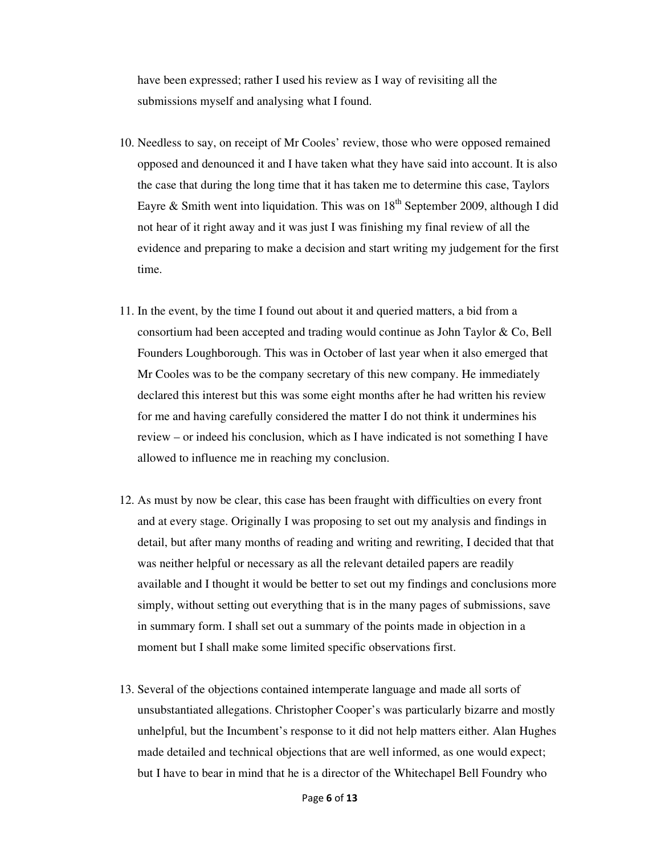have been expressed; rather I used his review as I way of revisiting all the submissions myself and analysing what I found.

- 10. Needless to say, on receipt of Mr Cooles' review, those who were opposed remained opposed and denounced it and I have taken what they have said into account. It is also the case that during the long time that it has taken me to determine this case, Taylors Eayre & Smith went into liquidation. This was on  $18<sup>th</sup>$  September 2009, although I did not hear of it right away and it was just I was finishing my final review of all the evidence and preparing to make a decision and start writing my judgement for the first time.
- 11. In the event, by the time I found out about it and queried matters, a bid from a consortium had been accepted and trading would continue as John Taylor & Co, Bell Founders Loughborough. This was in October of last year when it also emerged that Mr Cooles was to be the company secretary of this new company. He immediately declared this interest but this was some eight months after he had written his review for me and having carefully considered the matter I do not think it undermines his review – or indeed his conclusion, which as I have indicated is not something I have allowed to influence me in reaching my conclusion.
- 12. As must by now be clear, this case has been fraught with difficulties on every front and at every stage. Originally I was proposing to set out my analysis and findings in detail, but after many months of reading and writing and rewriting, I decided that that was neither helpful or necessary as all the relevant detailed papers are readily available and I thought it would be better to set out my findings and conclusions more simply, without setting out everything that is in the many pages of submissions, save in summary form. I shall set out a summary of the points made in objection in a moment but I shall make some limited specific observations first.
- 13. Several of the objections contained intemperate language and made all sorts of unsubstantiated allegations. Christopher Cooper's was particularly bizarre and mostly unhelpful, but the Incumbent's response to it did not help matters either. Alan Hughes made detailed and technical objections that are well informed, as one would expect; but I have to bear in mind that he is a director of the Whitechapel Bell Foundry who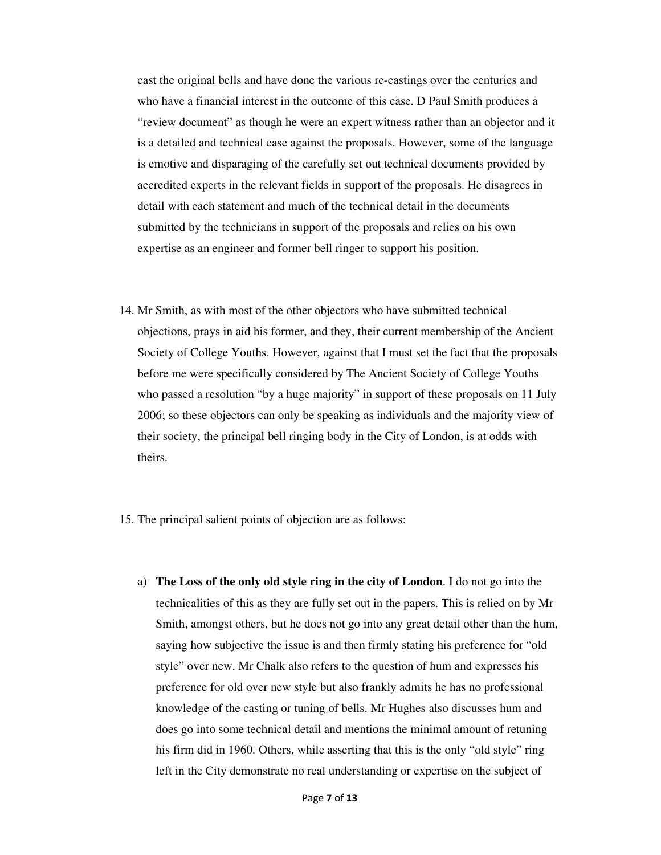cast the original bells and have done the various re-castings over the centuries and who have a financial interest in the outcome of this case. D Paul Smith produces a "review document" as though he were an expert witness rather than an objector and it is a detailed and technical case against the proposals. However, some of the language is emotive and disparaging of the carefully set out technical documents provided by accredited experts in the relevant fields in support of the proposals. He disagrees in detail with each statement and much of the technical detail in the documents submitted by the technicians in support of the proposals and relies on his own expertise as an engineer and former bell ringer to support his position.

- 14. Mr Smith, as with most of the other objectors who have submitted technical objections, prays in aid his former, and they, their current membership of the Ancient Society of College Youths. However, against that I must set the fact that the proposals before me were specifically considered by The Ancient Society of College Youths who passed a resolution "by a huge majority" in support of these proposals on 11 July 2006; so these objectors can only be speaking as individuals and the majority view of their society, the principal bell ringing body in the City of London, is at odds with theirs.
- 15. The principal salient points of objection are as follows:
	- a) **The Loss of the only old style ring in the city of London**. I do not go into the technicalities of this as they are fully set out in the papers. This is relied on by Mr Smith, amongst others, but he does not go into any great detail other than the hum, saying how subjective the issue is and then firmly stating his preference for "old style" over new. Mr Chalk also refers to the question of hum and expresses his preference for old over new style but also frankly admits he has no professional knowledge of the casting or tuning of bells. Mr Hughes also discusses hum and does go into some technical detail and mentions the minimal amount of retuning his firm did in 1960. Others, while asserting that this is the only "old style" ring left in the City demonstrate no real understanding or expertise on the subject of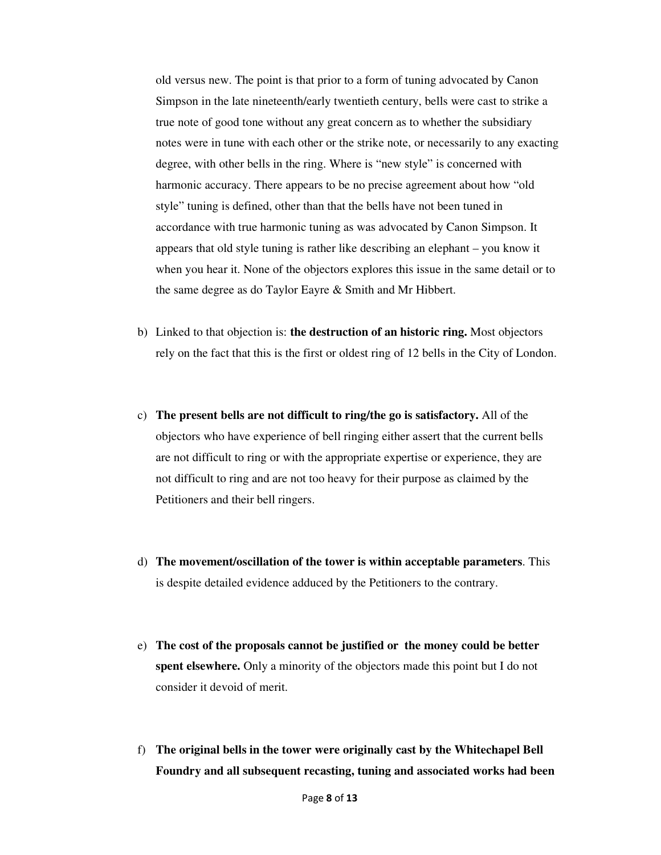old versus new. The point is that prior to a form of tuning advocated by Canon Simpson in the late nineteenth/early twentieth century, bells were cast to strike a true note of good tone without any great concern as to whether the subsidiary notes were in tune with each other or the strike note, or necessarily to any exacting degree, with other bells in the ring. Where is "new style" is concerned with harmonic accuracy. There appears to be no precise agreement about how "old style" tuning is defined, other than that the bells have not been tuned in accordance with true harmonic tuning as was advocated by Canon Simpson. It appears that old style tuning is rather like describing an elephant – you know it when you hear it. None of the objectors explores this issue in the same detail or to the same degree as do Taylor Eayre & Smith and Mr Hibbert.

- b) Linked to that objection is: **the destruction of an historic ring.** Most objectors rely on the fact that this is the first or oldest ring of 12 bells in the City of London.
- c) **The present bells are not difficult to ring/the go is satisfactory.** All of the objectors who have experience of bell ringing either assert that the current bells are not difficult to ring or with the appropriate expertise or experience, they are not difficult to ring and are not too heavy for their purpose as claimed by the Petitioners and their bell ringers.
- d) **The movement/oscillation of the tower is within acceptable parameters**. This is despite detailed evidence adduced by the Petitioners to the contrary.
- e) **The cost of the proposals cannot be justified or the money could be better spent elsewhere.** Only a minority of the objectors made this point but I do not consider it devoid of merit.
- f) **The original bells in the tower were originally cast by the Whitechapel Bell Foundry and all subsequent recasting, tuning and associated works had been**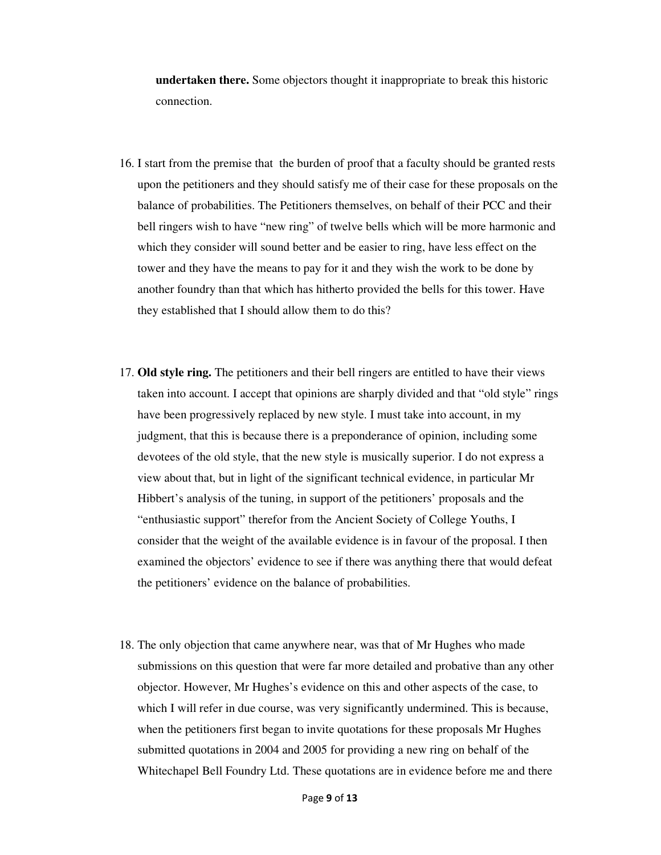**undertaken there.** Some objectors thought it inappropriate to break this historic connection.

- 16. I start from the premise that the burden of proof that a faculty should be granted rests upon the petitioners and they should satisfy me of their case for these proposals on the balance of probabilities. The Petitioners themselves, on behalf of their PCC and their bell ringers wish to have "new ring" of twelve bells which will be more harmonic and which they consider will sound better and be easier to ring, have less effect on the tower and they have the means to pay for it and they wish the work to be done by another foundry than that which has hitherto provided the bells for this tower. Have they established that I should allow them to do this?
- 17. **Old style ring.** The petitioners and their bell ringers are entitled to have their views taken into account. I accept that opinions are sharply divided and that "old style" rings have been progressively replaced by new style. I must take into account, in my judgment, that this is because there is a preponderance of opinion, including some devotees of the old style, that the new style is musically superior. I do not express a view about that, but in light of the significant technical evidence, in particular Mr Hibbert's analysis of the tuning, in support of the petitioners' proposals and the "enthusiastic support" therefor from the Ancient Society of College Youths, I consider that the weight of the available evidence is in favour of the proposal. I then examined the objectors' evidence to see if there was anything there that would defeat the petitioners' evidence on the balance of probabilities.
- 18. The only objection that came anywhere near, was that of Mr Hughes who made submissions on this question that were far more detailed and probative than any other objector. However, Mr Hughes's evidence on this and other aspects of the case, to which I will refer in due course, was very significantly undermined. This is because, when the petitioners first began to invite quotations for these proposals Mr Hughes submitted quotations in 2004 and 2005 for providing a new ring on behalf of the Whitechapel Bell Foundry Ltd. These quotations are in evidence before me and there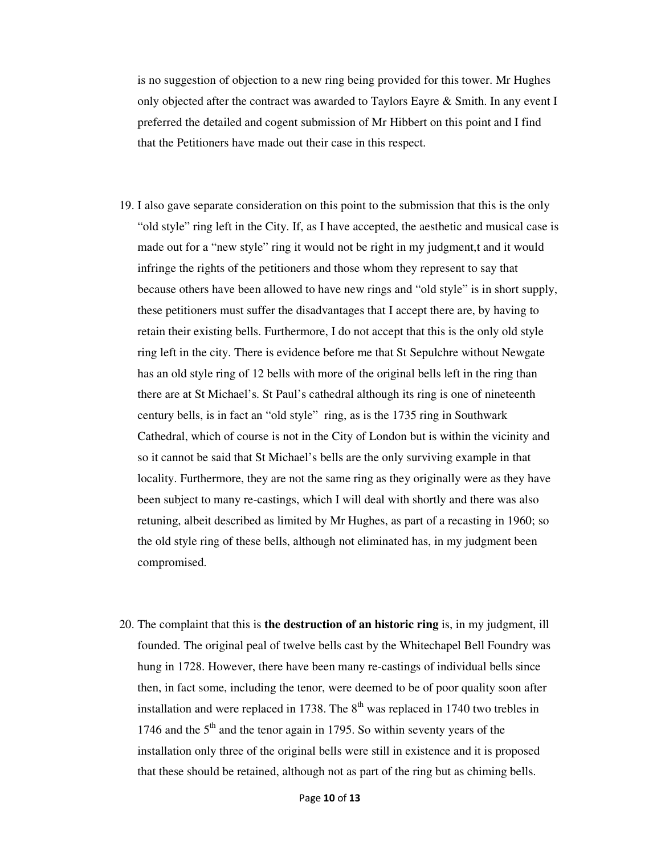is no suggestion of objection to a new ring being provided for this tower. Mr Hughes only objected after the contract was awarded to Taylors Eayre & Smith. In any event I preferred the detailed and cogent submission of Mr Hibbert on this point and I find that the Petitioners have made out their case in this respect.

- 19. I also gave separate consideration on this point to the submission that this is the only "old style" ring left in the City. If, as I have accepted, the aesthetic and musical case is made out for a "new style" ring it would not be right in my judgment,t and it would infringe the rights of the petitioners and those whom they represent to say that because others have been allowed to have new rings and "old style" is in short supply, these petitioners must suffer the disadvantages that I accept there are, by having to retain their existing bells. Furthermore, I do not accept that this is the only old style ring left in the city. There is evidence before me that St Sepulchre without Newgate has an old style ring of 12 bells with more of the original bells left in the ring than there are at St Michael's. St Paul's cathedral although its ring is one of nineteenth century bells, is in fact an "old style" ring, as is the 1735 ring in Southwark Cathedral, which of course is not in the City of London but is within the vicinity and so it cannot be said that St Michael's bells are the only surviving example in that locality. Furthermore, they are not the same ring as they originally were as they have been subject to many re-castings, which I will deal with shortly and there was also retuning, albeit described as limited by Mr Hughes, as part of a recasting in 1960; so the old style ring of these bells, although not eliminated has, in my judgment been compromised.
- 20. The complaint that this is **the destruction of an historic ring** is, in my judgment, ill founded. The original peal of twelve bells cast by the Whitechapel Bell Foundry was hung in 1728. However, there have been many re-castings of individual bells since then, in fact some, including the tenor, were deemed to be of poor quality soon after installation and were replaced in 1738. The  $8<sup>th</sup>$  was replaced in 1740 two trebles in 1746 and the  $5<sup>th</sup>$  and the tenor again in 1795. So within seventy years of the installation only three of the original bells were still in existence and it is proposed that these should be retained, although not as part of the ring but as chiming bells.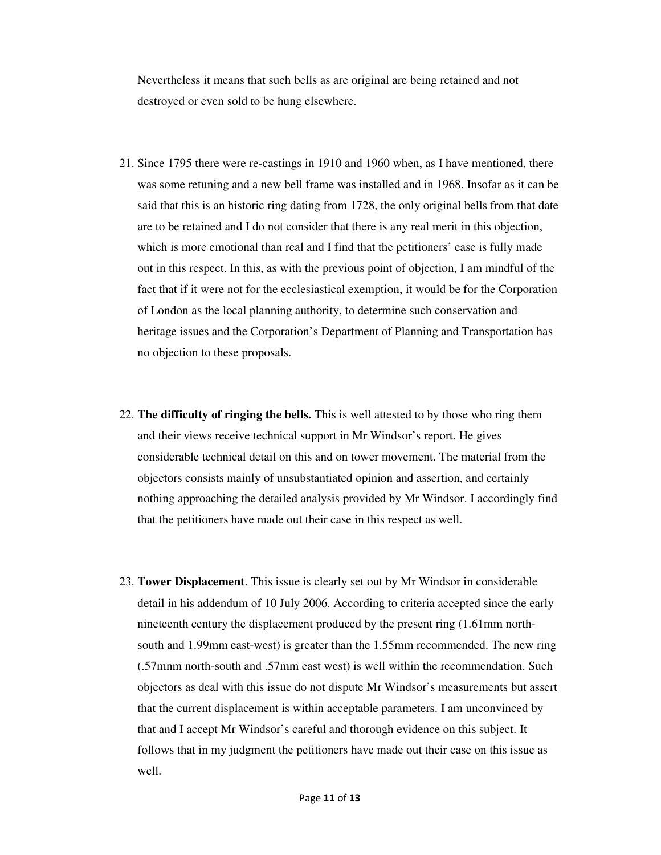Nevertheless it means that such bells as are original are being retained and not destroyed or even sold to be hung elsewhere.

- 21. Since 1795 there were re-castings in 1910 and 1960 when, as I have mentioned, there was some retuning and a new bell frame was installed and in 1968. Insofar as it can be said that this is an historic ring dating from 1728, the only original bells from that date are to be retained and I do not consider that there is any real merit in this objection, which is more emotional than real and I find that the petitioners' case is fully made out in this respect. In this, as with the previous point of objection, I am mindful of the fact that if it were not for the ecclesiastical exemption, it would be for the Corporation of London as the local planning authority, to determine such conservation and heritage issues and the Corporation's Department of Planning and Transportation has no objection to these proposals.
- 22. **The difficulty of ringing the bells.** This is well attested to by those who ring them and their views receive technical support in Mr Windsor's report. He gives considerable technical detail on this and on tower movement. The material from the objectors consists mainly of unsubstantiated opinion and assertion, and certainly nothing approaching the detailed analysis provided by Mr Windsor. I accordingly find that the petitioners have made out their case in this respect as well.
- 23. **Tower Displacement**. This issue is clearly set out by Mr Windsor in considerable detail in his addendum of 10 July 2006. According to criteria accepted since the early nineteenth century the displacement produced by the present ring (1.61mm northsouth and 1.99mm east-west) is greater than the 1.55mm recommended. The new ring (.57mnm north-south and .57mm east west) is well within the recommendation. Such objectors as deal with this issue do not dispute Mr Windsor's measurements but assert that the current displacement is within acceptable parameters. I am unconvinced by that and I accept Mr Windsor's careful and thorough evidence on this subject. It follows that in my judgment the petitioners have made out their case on this issue as well.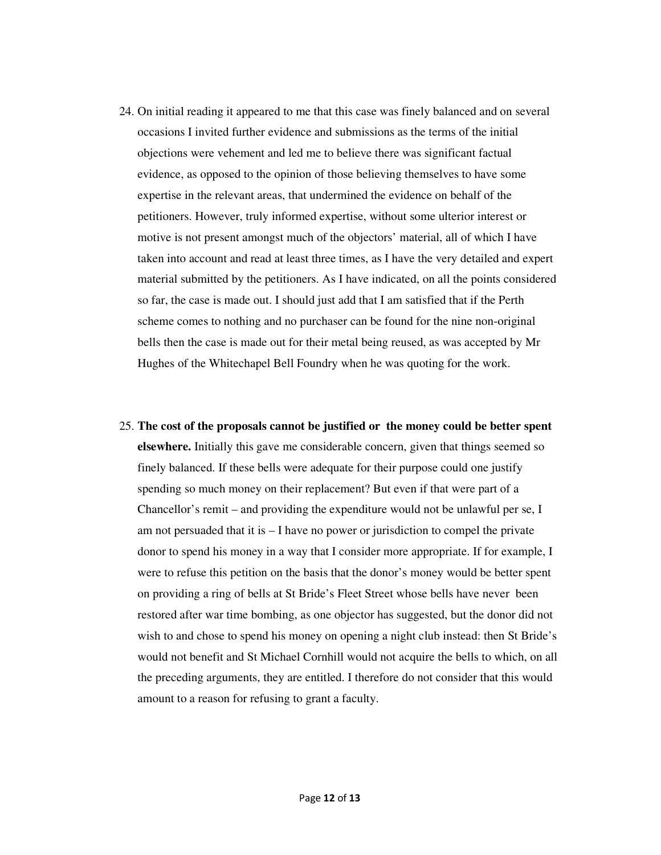- 24. On initial reading it appeared to me that this case was finely balanced and on several occasions I invited further evidence and submissions as the terms of the initial objections were vehement and led me to believe there was significant factual evidence, as opposed to the opinion of those believing themselves to have some expertise in the relevant areas, that undermined the evidence on behalf of the petitioners. However, truly informed expertise, without some ulterior interest or motive is not present amongst much of the objectors' material, all of which I have taken into account and read at least three times, as I have the very detailed and expert material submitted by the petitioners. As I have indicated, on all the points considered so far, the case is made out. I should just add that I am satisfied that if the Perth scheme comes to nothing and no purchaser can be found for the nine non-original bells then the case is made out for their metal being reused, as was accepted by Mr Hughes of the Whitechapel Bell Foundry when he was quoting for the work.
- 25. **The cost of the proposals cannot be justified or the money could be better spent elsewhere.** Initially this gave me considerable concern, given that things seemed so finely balanced. If these bells were adequate for their purpose could one justify spending so much money on their replacement? But even if that were part of a Chancellor's remit – and providing the expenditure would not be unlawful per se, I am not persuaded that it is – I have no power or jurisdiction to compel the private donor to spend his money in a way that I consider more appropriate. If for example, I were to refuse this petition on the basis that the donor's money would be better spent on providing a ring of bells at St Bride's Fleet Street whose bells have never been restored after war time bombing, as one objector has suggested, but the donor did not wish to and chose to spend his money on opening a night club instead: then St Bride's would not benefit and St Michael Cornhill would not acquire the bells to which, on all the preceding arguments, they are entitled. I therefore do not consider that this would amount to a reason for refusing to grant a faculty.